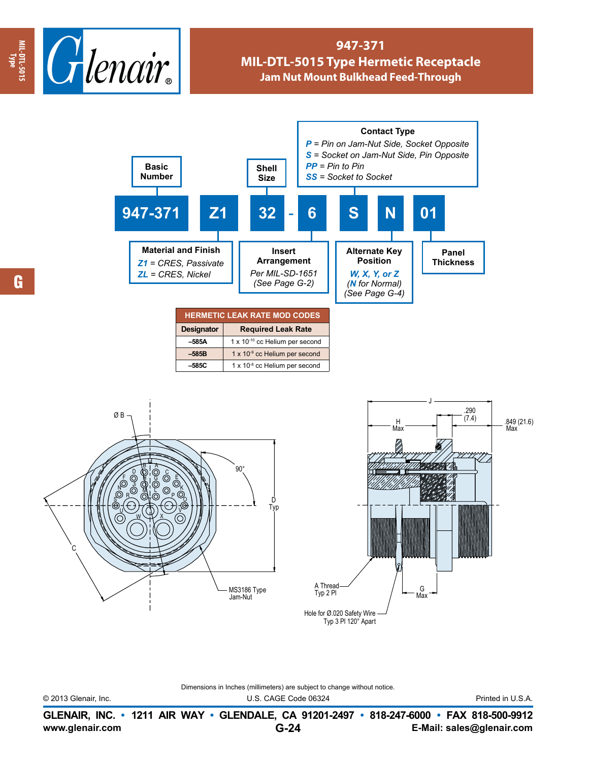

## **947-371 MIL-DTL-5015 Type Hermetic Receptacle Jam Nut Mount Bulkhead Feed-Through**



Dimensions in Inches (millimeters) are subject to change without notice.

© 2013 Glenair, Inc. U.S. CAGE Code 06324 Printed in U.S.A.

**www.glenair.com E-Mail: sales@glenair.com GLENAIR, INC. • 1211 AIR WAY • GLENDALE, CA 91201-2497 • 818-247-6000 • FAX 818-500-9912 G-24**